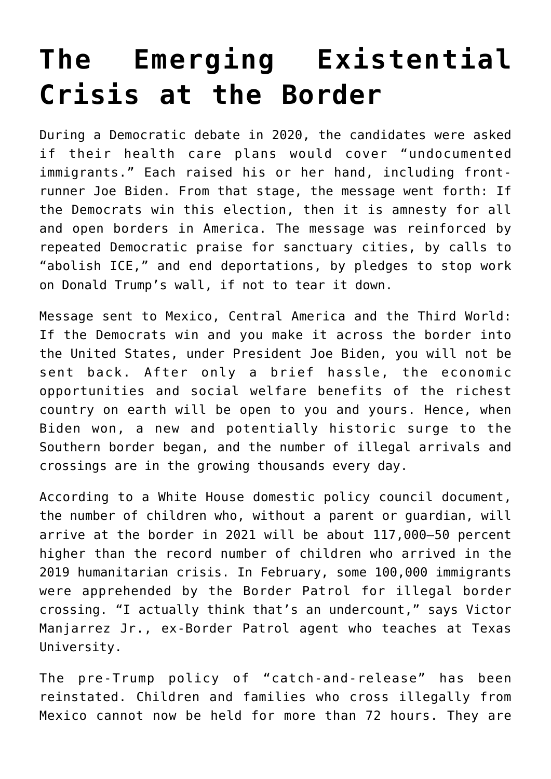## **[The Emerging Existential](https://intellectualtakeout.org/2021/03/the-emerging-existential-crisis-at-the-border/) [Crisis at the Border](https://intellectualtakeout.org/2021/03/the-emerging-existential-crisis-at-the-border/)**

During a Democratic debate in 2020, the candidates were asked if their health care plans would cover "undocumented immigrants." Each raised his or her hand, including frontrunner Joe Biden. From that stage, the message went forth: If the Democrats win this election, then it is amnesty for all and open borders in America. The message was reinforced by repeated Democratic praise for sanctuary cities, by calls to "abolish ICE," and end deportations, by pledges to stop work on Donald Trump's wall, if not to tear it down.

Message sent to Mexico, Central America and the Third World: If the Democrats win and you make it across the border into the United States, under President Joe Biden, you will not be sent back. After only a brief hassle, the economic opportunities and social welfare benefits of the richest country on earth will be open to you and yours. Hence, when Biden won, a new and potentially historic surge to the Southern border began, and the number of illegal arrivals and crossings are in the growing thousands every day.

According to a White House domestic policy council document, the number of children who, without a parent or guardian, will arrive at the border in 2021 will be about 117,000—50 percent higher than the record number of children who arrived in the 2019 humanitarian crisis. In February, some 100,000 immigrants were apprehended by the Border Patrol for illegal border crossing. "I actually think that's an undercount," says Victor Manjarrez Jr., ex-Border Patrol agent who teaches at Texas University.

The pre-Trump policy of "catch-and-release" has been reinstated. Children and families who cross illegally from Mexico cannot now be held for more than 72 hours. They are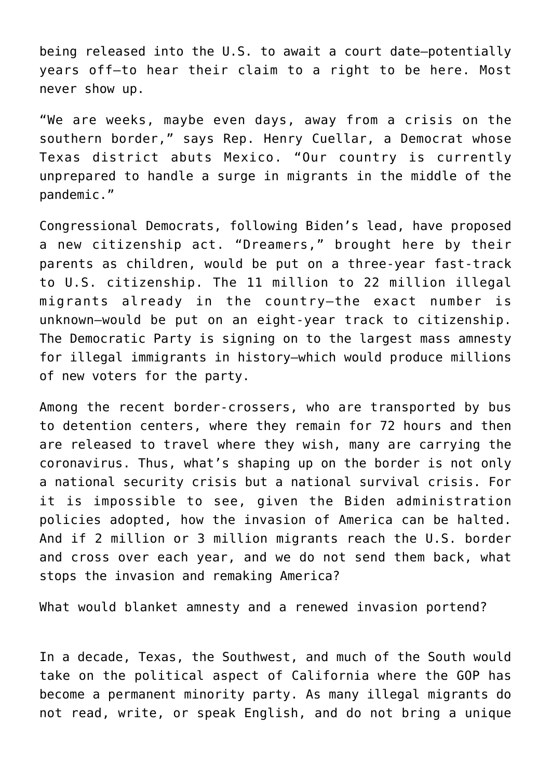being released into the U.S. to await a court date—potentially years off—to hear their claim to a right to be here. Most never show up.

"We are weeks, maybe even days, away from a crisis on the southern border," says Rep. Henry Cuellar, a Democrat whose Texas district abuts Mexico. "Our country is currently unprepared to handle a surge in migrants in the middle of the pandemic."

Congressional Democrats, following Biden's lead, have proposed a new citizenship act. "Dreamers," brought here by their parents as children, would be put on a three-year fast-track to U.S. citizenship. The 11 million to 22 million illegal migrants already in the country—the exact number is unknown—would be put on an eight-year track to citizenship. The Democratic Party is signing on to the largest mass amnesty for illegal immigrants in history—which would produce millions of new voters for the party.

Among the recent border-crossers, who are transported by bus to detention centers, where they remain for 72 hours and then are released to travel where they wish, many are carrying the coronavirus. Thus, what's shaping up on the border is not only a national security crisis but a national survival crisis. For it is impossible to see, given the Biden administration policies adopted, how the invasion of America can be halted. And if 2 million or 3 million migrants reach the U.S. border and cross over each year, and we do not send them back, what stops the invasion and remaking America?

What would blanket amnesty and a renewed invasion portend?

In a decade, Texas, the Southwest, and much of the South would take on the political aspect of California where the GOP has become a permanent minority party. As many illegal migrants do not read, write, or speak English, and do not bring a unique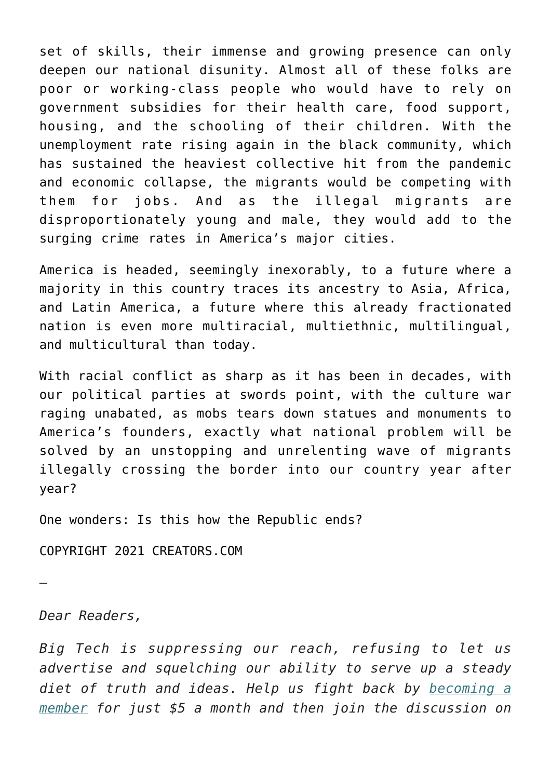set of skills, their immense and growing presence can only deepen our national disunity. Almost all of these folks are poor or working-class people who would have to rely on government subsidies for their health care, food support, housing, and the schooling of their children. With the unemployment rate rising again in the black community, which has sustained the heaviest collective hit from the pandemic and economic collapse, the migrants would be competing with them for jobs. And as the illegal migrants are disproportionately young and male, they would add to the surging crime rates in America's major cities.

America is headed, seemingly inexorably, to a future where a majority in this country traces its ancestry to Asia, Africa, and Latin America, a future where this already fractionated nation is even more multiracial, multiethnic, multilingual, and multicultural than today.

With racial conflict as sharp as it has been in decades, with our political parties at swords point, with the culture war raging unabated, as mobs tears down statues and monuments to America's founders, exactly what national problem will be solved by an unstopping and unrelenting wave of migrants illegally crossing the border into our country year after year?

One wonders: Is this how the Republic ends?

COPYRIGHT 2021 CREATORS.COM

—

*Dear Readers,*

*Big Tech is suppressing our reach, refusing to let us advertise and squelching our ability to serve up a steady diet of truth and ideas. Help us fight back by [becoming a](https://www.chroniclesmagazine.org/subscribe/) [member](https://www.chroniclesmagazine.org/subscribe/) for just \$5 a month and then join the discussion on*